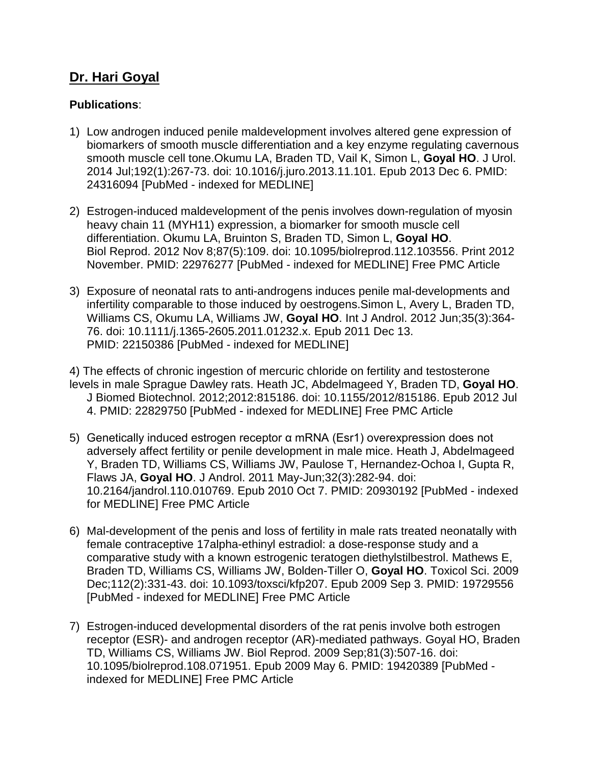## **Dr. Hari Goyal**

## **Publications**:

- 1) Low androgen induced penile maldevelopment involves altered gene expression of biomarkers of smooth muscle differentiation and a key enzyme regulating cavernous smooth muscle cell tone.Okumu LA, Braden TD, Vail K, Simon L, **Goyal HO**. J Urol. 2014 Jul;192(1):267-73. doi: 10.1016/j.juro.2013.11.101. Epub 2013 Dec 6. PMID: 24316094 [PubMed - indexed for MEDLINE]
- 2) Estrogen-induced maldevelopment of the penis involves down-regulation of myosin heavy chain 11 (MYH11) expression, a biomarker for smooth muscle cell differentiation. Okumu LA, Bruinton S, Braden TD, Simon L, **Goyal HO**. Biol Reprod. 2012 Nov 8;87(5):109. doi: 10.1095/biolreprod.112.103556. Print 2012 November. PMID: 22976277 [PubMed - indexed for MEDLINE] Free PMC Article
- 3) Exposure of neonatal rats to anti-androgens induces penile mal-developments and infertility comparable to those induced by oestrogens.Simon L, Avery L, Braden TD, Williams CS, Okumu LA, Williams JW, **Goyal HO**. Int J Androl. 2012 Jun;35(3):364- 76. doi: 10.1111/j.1365-2605.2011.01232.x. Epub 2011 Dec 13. PMID: 22150386 [PubMed - indexed for MEDLINE]

4) The effects of chronic ingestion of mercuric chloride on fertility and testosterone levels in male Sprague Dawley rats. Heath JC, Abdelmageed Y, Braden TD, **Goyal HO**. J Biomed Biotechnol. 2012;2012:815186. doi: 10.1155/2012/815186. Epub 2012 Jul 4. PMID: 22829750 [PubMed - indexed for MEDLINE] Free PMC Article

- 5) Genetically induced estrogen receptor α mRNA (Esr1) overexpression does not adversely affect fertility or penile development in male mice. Heath J, Abdelmageed Y, Braden TD, Williams CS, Williams JW, Paulose T, Hernandez-Ochoa I, Gupta R, Flaws JA, **Goyal HO**. J Androl. 2011 May-Jun;32(3):282-94. doi: 10.2164/jandrol.110.010769. Epub 2010 Oct 7. PMID: 20930192 [PubMed - indexed for MEDLINE] Free PMC Article
- 6) Mal-development of the penis and loss of fertility in male rats treated neonatally with female contraceptive 17alpha-ethinyl estradiol: a dose-response study and a comparative study with a known estrogenic teratogen diethylstilbestrol. Mathews E, Braden TD, Williams CS, Williams JW, Bolden-Tiller O, **Goyal HO**. Toxicol Sci. 2009 Dec;112(2):331-43. doi: 10.1093/toxsci/kfp207. Epub 2009 Sep 3. PMID: 19729556 [PubMed - indexed for MEDLINE] Free PMC Article
- 7) Estrogen-induced developmental disorders of the rat penis involve both estrogen receptor (ESR)- and androgen receptor (AR)-mediated pathways. Goyal HO, Braden TD, Williams CS, Williams JW. Biol Reprod. 2009 Sep;81(3):507-16. doi: 10.1095/biolreprod.108.071951. Epub 2009 May 6. PMID: 19420389 [PubMed indexed for MEDLINE] Free PMC Article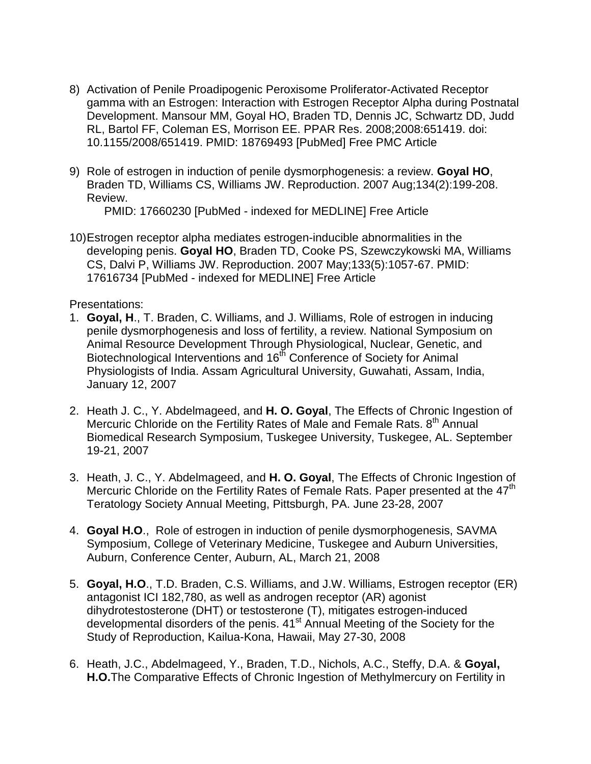- 8) Activation of Penile Proadipogenic Peroxisome Proliferator-Activated Receptor gamma with an Estrogen: Interaction with Estrogen Receptor Alpha during Postnatal Development. Mansour MM, Goyal HO, Braden TD, Dennis JC, Schwartz DD, Judd RL, Bartol FF, Coleman ES, Morrison EE. PPAR Res. 2008;2008:651419. doi: 10.1155/2008/651419. PMID: 18769493 [PubMed] Free PMC Article
- 9) Role of estrogen in induction of penile dysmorphogenesis: a review. **Goyal HO**, Braden TD, Williams CS, Williams JW. Reproduction. 2007 Aug;134(2):199-208. Review.

PMID: 17660230 [PubMed - indexed for MEDLINE] Free Article

10)Estrogen receptor alpha mediates estrogen-inducible abnormalities in the developing penis. **Goyal HO**, Braden TD, Cooke PS, Szewczykowski MA, Williams CS, Dalvi P, Williams JW. Reproduction. 2007 May;133(5):1057-67. PMID: 17616734 [PubMed - indexed for MEDLINE] Free Article

Presentations:

- 1. **Goyal, H**., T. Braden, C. Williams, and J. Williams, Role of estrogen in inducing penile dysmorphogenesis and loss of fertility, a review. National Symposium on Animal Resource Development Through Physiological, Nuclear, Genetic, and Biotechnological Interventions and 16<sup>th</sup> Conference of Society for Animal Physiologists of India. Assam Agricultural University, Guwahati, Assam, India, January 12, 2007
- 2. Heath J. C., Y. Abdelmageed, and **H. O. Goyal**, The Effects of Chronic Ingestion of Mercuric Chloride on the Fertility Rates of Male and Female Rats. 8<sup>th</sup> Annual Biomedical Research Symposium, Tuskegee University, Tuskegee, AL. September 19-21, 2007
- 3. Heath, J. C., Y. Abdelmageed, and **H. O. Goyal**, The Effects of Chronic Ingestion of Mercuric Chloride on the Fertility Rates of Female Rats. Paper presented at the  $47<sup>th</sup>$ Teratology Society Annual Meeting, Pittsburgh, PA. June 23-28, 2007
- 4. **Goyal H.O**., Role of estrogen in induction of penile dysmorphogenesis, SAVMA Symposium, College of Veterinary Medicine, Tuskegee and Auburn Universities, Auburn, Conference Center, Auburn, AL, March 21, 2008
- 5. **Goyal, H.O**., T.D. Braden, C.S. Williams, and J.W. Williams, Estrogen receptor (ER) antagonist ICI 182,780, as well as androgen receptor (AR) agonist dihydrotestosterone (DHT) or testosterone (T), mitigates estrogen-induced developmental disorders of the penis.  $41<sup>st</sup>$  Annual Meeting of the Society for the Study of Reproduction, Kailua-Kona, Hawaii, May 27-30, 2008
- 6. Heath, J.C., Abdelmageed, Y., Braden, T.D., Nichols, A.C., Steffy, D.A. & **Goyal, H.O.**The Comparative Effects of Chronic Ingestion of Methylmercury on Fertility in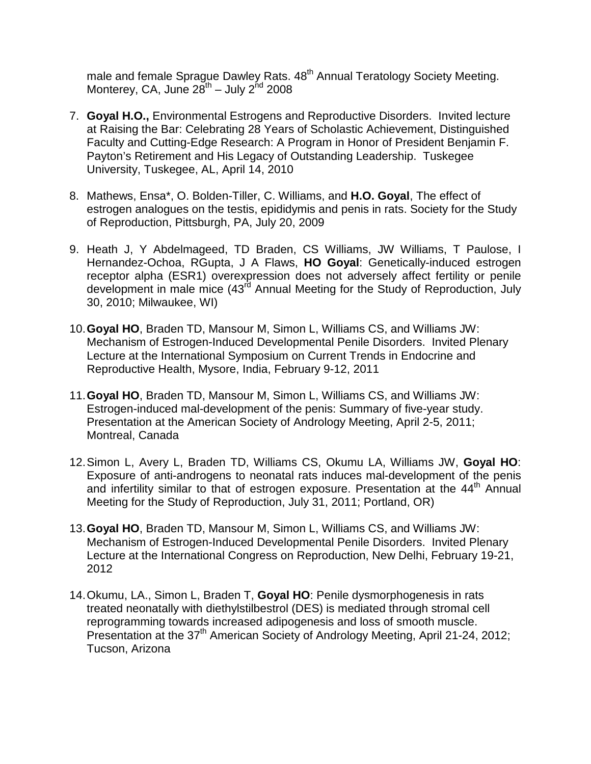male and female Sprague Dawley Rats. 48<sup>th</sup> Annual Teratology Society Meeting. Monterey, CA, June  $28^{th}$  – July  $2^{nd}$  2008

- 7. **Goyal H.O.,** Environmental Estrogens and Reproductive Disorders. Invited lecture at Raising the Bar: Celebrating 28 Years of Scholastic Achievement, Distinguished Faculty and Cutting-Edge Research: A Program in Honor of President Benjamin F. Payton's Retirement and His Legacy of Outstanding Leadership. Tuskegee University, Tuskegee, AL, April 14, 2010
- 8. Mathews, Ensa\*, O. Bolden-Tiller, C. Williams, and **H.O. Goyal**, The effect of estrogen analogues on the testis, epididymis and penis in rats. Society for the Study of Reproduction, Pittsburgh, PA, July 20, 2009
- 9. Heath J, Y Abdelmageed, TD Braden, CS Williams, JW Williams, T Paulose, I Hernandez-Ochoa, RGupta, J A Flaws, **HO Goyal**: Genetically-induced estrogen receptor alpha (ESR1) overexpression does not adversely affect fertility or penile development in male mice (43<sup>rd</sup> Annual Meeting for the Study of Reproduction, July 30, 2010; Milwaukee, WI)
- 10.**Goyal HO**, Braden TD, Mansour M, Simon L, Williams CS, and Williams JW: Mechanism of Estrogen-Induced Developmental Penile Disorders. Invited Plenary Lecture at the International Symposium on Current Trends in Endocrine and Reproductive Health, Mysore, India, February 9-12, 2011
- 11.**Goyal HO**, Braden TD, Mansour M, Simon L, Williams CS, and Williams JW: Estrogen-induced mal-development of the penis: Summary of five-year study. Presentation at the American Society of Andrology Meeting, April 2-5, 2011; Montreal, Canada
- 12.Simon L, Avery L, Braden TD, Williams CS, Okumu LA, Williams JW, **Goyal HO**: Exposure of anti-androgens to neonatal rats induces mal-development of the penis and infertility similar to that of estrogen exposure. Presentation at the 44<sup>th</sup> Annual Meeting for the Study of Reproduction, July 31, 2011; Portland, OR)
- 13.**Goyal HO**, Braden TD, Mansour M, Simon L, Williams CS, and Williams JW: Mechanism of Estrogen-Induced Developmental Penile Disorders. Invited Plenary Lecture at the International Congress on Reproduction, New Delhi, February 19-21, 2012
- 14.Okumu, LA., Simon L, Braden T, **Goyal HO**: Penile dysmorphogenesis in rats treated neonatally with diethylstilbestrol (DES) is mediated through stromal cell reprogramming towards increased adipogenesis and loss of smooth muscle. Presentation at the 37<sup>th</sup> American Society of Andrology Meeting, April 21-24, 2012; Tucson, Arizona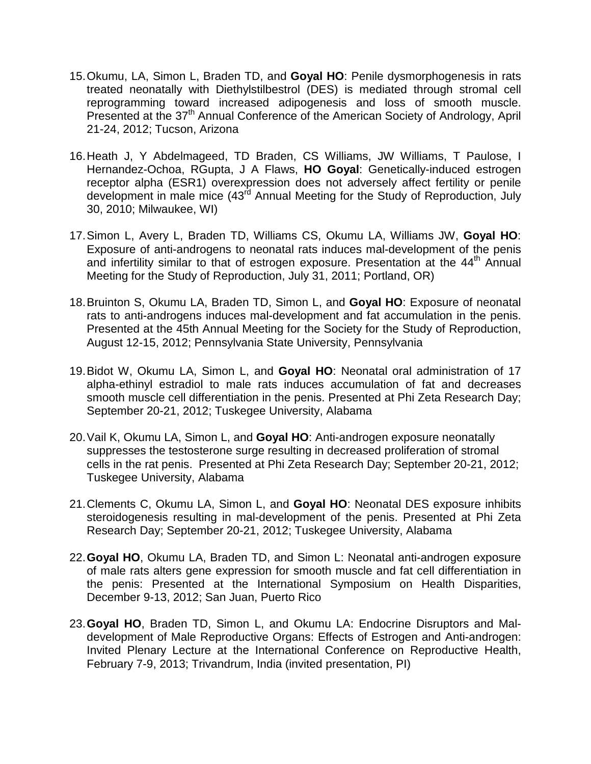- 15.Okumu, LA, Simon L, Braden TD, and **Goyal HO**: Penile dysmorphogenesis in rats treated neonatally with Diethylstilbestrol (DES) is mediated through stromal cell reprogramming toward increased adipogenesis and loss of smooth muscle. Presented at the 37<sup>th</sup> Annual Conference of the American Society of Andrology, April 21-24, 2012; Tucson, Arizona
- 16.Heath J, Y Abdelmageed, TD Braden, CS Williams, JW Williams, T Paulose, I Hernandez-Ochoa, RGupta, J A Flaws, **HO Goyal**: Genetically-induced estrogen receptor alpha (ESR1) overexpression does not adversely affect fertility or penile development in male mice (43<sup>rd</sup> Annual Meeting for the Study of Reproduction, July 30, 2010; Milwaukee, WI)
- 17.Simon L, Avery L, Braden TD, Williams CS, Okumu LA, Williams JW, **Goyal HO**: Exposure of anti-androgens to neonatal rats induces mal-development of the penis and infertility similar to that of estrogen exposure. Presentation at the 44<sup>th</sup> Annual Meeting for the Study of Reproduction, July 31, 2011; Portland, OR)
- 18.Bruinton S, Okumu LA, Braden TD, Simon L, and **Goyal HO**: Exposure of neonatal rats to anti-androgens induces mal-development and fat accumulation in the penis. Presented at the 45th Annual Meeting for the Society for the Study of Reproduction, August 12-15, 2012; Pennsylvania State University, Pennsylvania
- 19.Bidot W, Okumu LA, Simon L, and **Goyal HO**: Neonatal oral administration of 17 alpha-ethinyl estradiol to male rats induces accumulation of fat and decreases smooth muscle cell differentiation in the penis. Presented at Phi Zeta Research Day; September 20-21, 2012; Tuskegee University, Alabama
- 20.Vail K, Okumu LA, Simon L, and **Goyal HO**: Anti-androgen exposure neonatally suppresses the testosterone surge resulting in decreased proliferation of stromal cells in the rat penis. Presented at Phi Zeta Research Day; September 20-21, 2012; Tuskegee University, Alabama
- 21.Clements C, Okumu LA, Simon L, and **Goyal HO**: Neonatal DES exposure inhibits steroidogenesis resulting in mal-development of the penis. Presented at Phi Zeta Research Day; September 20-21, 2012; Tuskegee University, Alabama
- 22.**Goyal HO**, Okumu LA, Braden TD, and Simon L: Neonatal anti-androgen exposure of male rats alters gene expression for smooth muscle and fat cell differentiation in the penis: Presented at the International Symposium on Health Disparities, December 9-13, 2012; San Juan, Puerto Rico
- 23.**Goyal HO**, Braden TD, Simon L, and Okumu LA: Endocrine Disruptors and Maldevelopment of Male Reproductive Organs: Effects of Estrogen and Anti-androgen: Invited Plenary Lecture at the International Conference on Reproductive Health, February 7-9, 2013; Trivandrum, India (invited presentation, PI)